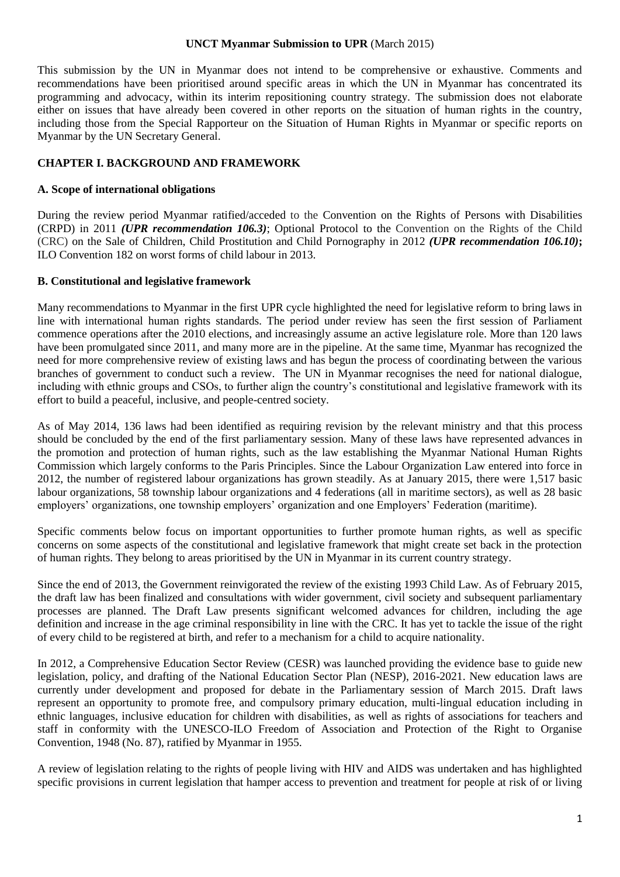#### **UNCT Myanmar Submission to UPR** (March 2015)

This submission by the UN in Myanmar does not intend to be comprehensive or exhaustive. Comments and recommendations have been prioritised around specific areas in which the UN in Myanmar has concentrated its programming and advocacy, within its interim repositioning country strategy. The submission does not elaborate either on issues that have already been covered in other reports on the situation of human rights in the country, including those from the Special Rapporteur on the Situation of Human Rights in Myanmar or specific reports on Myanmar by the UN Secretary General.

### **CHAPTER I. BACKGROUND AND FRAMEWORK**

### **A. Scope of international obligations**

During the review period Myanmar ratified/acceded to the Convention on the Rights of Persons with Disabilities (CRPD) in 2011 *(UPR recommendation 106.3)*; Optional Protocol to the Convention on the Rights of the Child (CRC) on the Sale of Children, Child Prostitution and Child Pornography in 2012 *(UPR recommendation 106.10)***;** ILO Convention 182 on worst forms of child labour in 2013.

### **B. Constitutional and legislative framework**

Many recommendations to Myanmar in the first UPR cycle highlighted the need for legislative reform to bring laws in line with international human rights standards. The period under review has seen the first session of Parliament commence operations after the 2010 elections, and increasingly assume an active legislature role. More than 120 laws have been promulgated since 2011, and many more are in the pipeline. At the same time, Myanmar has recognized the need for more comprehensive review of existing laws and has begun the process of coordinating between the various branches of government to conduct such a review. The UN in Myanmar recognises the need for national dialogue, including with ethnic groups and CSOs, to further align the country's constitutional and legislative framework with its effort to build a peaceful, inclusive, and people-centred society.

As of May 2014, 136 laws had been identified as requiring revision by the relevant ministry and that this process should be concluded by the end of the first parliamentary session. Many of these laws have represented advances in the promotion and protection of human rights, such as the law establishing the Myanmar National Human Rights Commission which largely conforms to the Paris Principles. Since the Labour Organization Law entered into force in 2012, the number of registered labour organizations has grown steadily. As at January 2015, there were 1,517 basic labour organizations, 58 township labour organizations and 4 federations (all in maritime sectors), as well as 28 basic employers' organizations, one township employers' organization and one Employers' Federation (maritime).

Specific comments below focus on important opportunities to further promote human rights, as well as specific concerns on some aspects of the constitutional and legislative framework that might create set back in the protection of human rights. They belong to areas prioritised by the UN in Myanmar in its current country strategy.

Since the end of 2013, the Government reinvigorated the review of the existing 1993 Child Law. As of February 2015, the draft law has been finalized and consultations with wider government, civil society and subsequent parliamentary processes are planned. The Draft Law presents significant welcomed advances for children, including the age definition and increase in the age criminal responsibility in line with the CRC. It has yet to tackle the issue of the right of every child to be registered at birth, and refer to a mechanism for a child to acquire nationality.

In 2012, a Comprehensive Education Sector Review (CESR) was launched providing the evidence base to guide new legislation, policy, and drafting of the National Education Sector Plan (NESP), 2016-2021. New education laws are currently under development and proposed for debate in the Parliamentary session of March 2015. Draft laws represent an opportunity to promote free, and compulsory primary education, multi-lingual education including in ethnic languages, inclusive education for children with disabilities, as well as rights of associations for teachers and staff in conformity with the UNESCO-ILO Freedom of Association and Protection of the Right to Organise Convention, 1948 (No. 87), ratified by Myanmar in 1955.

A review of legislation relating to the rights of people living with HIV and AIDS was undertaken and has highlighted specific provisions in current legislation that hamper access to prevention and treatment for people at risk of or living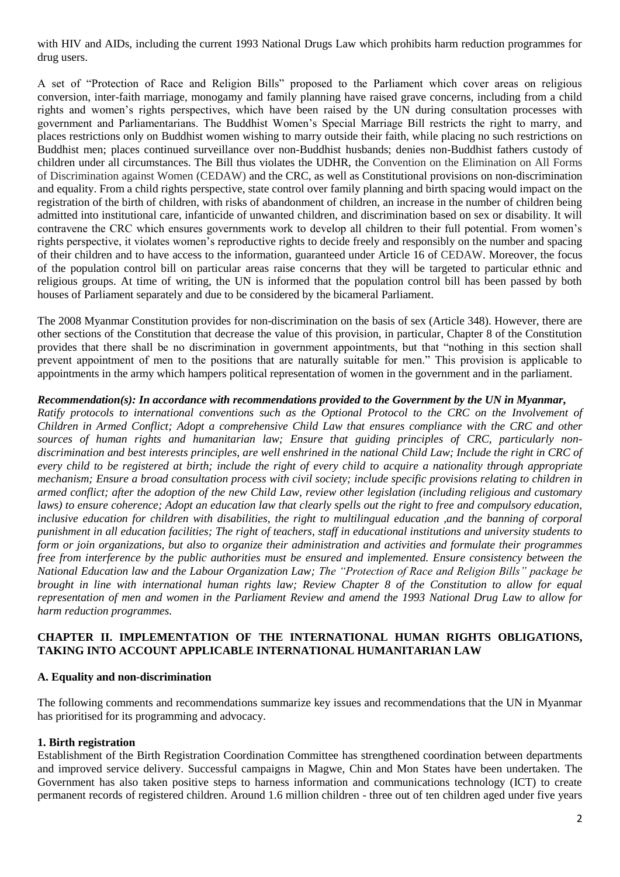with HIV and AIDs, including the current 1993 National Drugs Law which prohibits harm reduction programmes for drug users.

A set of "Protection of Race and Religion Bills" proposed to the Parliament which cover areas on religious conversion, inter-faith marriage, monogamy and family planning have raised grave concerns, including from a child rights and women's rights perspectives, which have been raised by the UN during consultation processes with government and Parliamentarians. The Buddhist Women's Special Marriage Bill restricts the right to marry, and places restrictions only on Buddhist women wishing to marry outside their faith, while placing no such restrictions on Buddhist men; places continued surveillance over non-Buddhist husbands; denies non-Buddhist fathers custody of children under all circumstances. The Bill thus violates the UDHR, the Convention on the Elimination on All Forms of Discrimination against Women (CEDAW) and the CRC, as well as Constitutional provisions on non-discrimination and equality. From a child rights perspective, state control over family planning and birth spacing would impact on the registration of the birth of children, with risks of abandonment of children, an increase in the number of children being admitted into institutional care, infanticide of unwanted children, and discrimination based on sex or disability. It will contravene the CRC which ensures governments work to develop all children to their full potential. From women's rights perspective, it violates women's reproductive rights to decide freely and responsibly on the number and spacing of their children and to have access to the information, guaranteed under Article 16 of CEDAW. Moreover, the focus of the population control bill on particular areas raise concerns that they will be targeted to particular ethnic and religious groups. At time of writing, the UN is informed that the population control bill has been passed by both houses of Parliament separately and due to be considered by the bicameral Parliament.

The 2008 Myanmar Constitution provides for non-discrimination on the basis of sex (Article 348). However, there are other sections of the Constitution that decrease the value of this provision, in particular, Chapter 8 of the Constitution provides that there shall be no discrimination in government appointments, but that "nothing in this section shall prevent appointment of men to the positions that are naturally suitable for men." This provision is applicable to appointments in the army which hampers political representation of women in the government and in the parliament.

#### *Recommendation(s): In accordance with recommendations provided to the Government by the UN in Myanmar,*

*Ratify protocols to international conventions such as the Optional Protocol to the CRC on the Involvement of Children in Armed Conflict; Adopt a comprehensive Child Law that ensures compliance with the CRC and other sources of human rights and humanitarian law; Ensure that guiding principles of CRC, particularly nondiscrimination and best interests principles, are well enshrined in the national Child Law; Include the right in CRC of every child to be registered at birth; include the right of every child to acquire a nationality through appropriate mechanism; Ensure a broad consultation process with civil society; include specific provisions relating to children in armed conflict; after the adoption of the new Child Law, review other legislation (including religious and customary laws)* to ensure coherence; Adopt an education law that clearly spells out the right to free and compulsory education, *inclusive education for children with disabilities, the right to multilingual education ,and the banning of corporal punishment in all education facilities; The right of teachers, staff in educational institutions and university students to form or join organizations, but also to organize their administration and activities and formulate their programmes free from interference by the public authorities must be ensured and implemented. Ensure consistency between the National Education law and the Labour Organization Law; The "Protection of Race and Religion Bills" package be brought in line with international human rights law; Review Chapter 8 of the Constitution to allow for equal representation of men and women in the Parliament Review and amend the 1993 National Drug Law to allow for harm reduction programmes.*

### **CHAPTER II. IMPLEMENTATION OF THE INTERNATIONAL HUMAN RIGHTS OBLIGATIONS, TAKING INTO ACCOUNT APPLICABLE INTERNATIONAL HUMANITARIAN LAW**

#### **A. Equality and non-discrimination**

The following comments and recommendations summarize key issues and recommendations that the UN in Myanmar has prioritised for its programming and advocacy.

#### **1. Birth registration**

Establishment of the Birth Registration Coordination Committee has strengthened coordination between departments and improved service delivery. Successful campaigns in Magwe, Chin and Mon States have been undertaken. The Government has also taken positive steps to harness information and communications technology (ICT) to create permanent records of registered children. Around 1.6 million children - three out of ten children aged under five years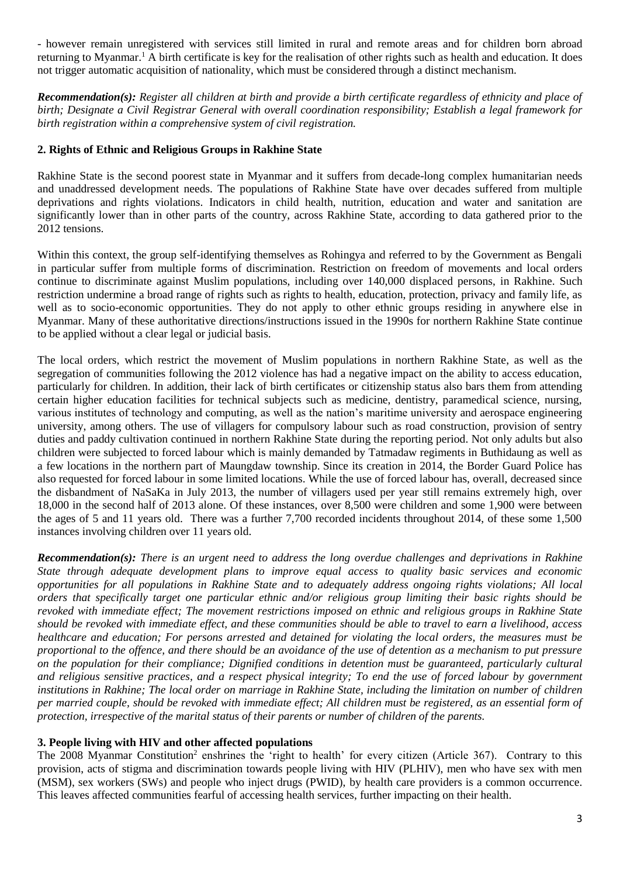- however remain unregistered with services still limited in rural and remote areas and for children born abroad returning to Myanmar.<sup>1</sup> A birth certificate is key for the realisation of other rights such as health and education. It does not trigger automatic acquisition of nationality, which must be considered through a distinct mechanism.

*Recommendation(s): Register all children at birth and provide a birth certificate regardless of ethnicity and place of birth; Designate a Civil Registrar General with overall coordination responsibility; Establish a legal framework for birth registration within a comprehensive system of civil registration.*

## **2. Rights of Ethnic and Religious Groups in Rakhine State**

Rakhine State is the second poorest state in Myanmar and it suffers from decade-long complex humanitarian needs and unaddressed development needs. The populations of Rakhine State have over decades suffered from multiple deprivations and rights violations. Indicators in child health, nutrition, education and water and sanitation are significantly lower than in other parts of the country, across Rakhine State, according to data gathered prior to the 2012 tensions.

Within this context, the group self-identifying themselves as Rohingya and referred to by the Government as Bengali in particular suffer from multiple forms of discrimination. Restriction on freedom of movements and local orders continue to discriminate against Muslim populations, including over 140,000 displaced persons, in Rakhine. Such restriction undermine a broad range of rights such as rights to health, education, protection, privacy and family life, as well as to socio-economic opportunities. They do not apply to other ethnic groups residing in anywhere else in Myanmar. Many of these authoritative directions/instructions issued in the 1990s for northern Rakhine State continue to be applied without a clear legal or judicial basis.

The local orders, which restrict the movement of Muslim populations in northern Rakhine State, as well as the segregation of communities following the 2012 violence has had a negative impact on the ability to access education, particularly for children. In addition, their lack of birth certificates or citizenship status also bars them from attending certain higher education facilities for technical subjects such as medicine, dentistry, paramedical science, nursing, various institutes of technology and computing, as well as the nation's maritime university and aerospace engineering university, among others. The use of villagers for compulsory labour such as road construction, provision of sentry duties and paddy cultivation continued in northern Rakhine State during the reporting period. Not only adults but also children were subjected to forced labour which is mainly demanded by Tatmadaw regiments in Buthidaung as well as a few locations in the northern part of Maungdaw township. Since its creation in 2014, the Border Guard Police has also requested for forced labour in some limited locations. While the use of forced labour has, overall, decreased since the disbandment of NaSaKa in July 2013, the number of villagers used per year still remains extremely high, over 18,000 in the second half of 2013 alone. Of these instances, over 8,500 were children and some 1,900 were between the ages of 5 and 11 years old. There was a further 7,700 recorded incidents throughout 2014, of these some 1,500 instances involving children over 11 years old.

*Recommendation(s): There is an urgent need to address the long overdue challenges and deprivations in Rakhine State through adequate development plans to improve equal access to quality basic services and economic opportunities for all populations in Rakhine State and to adequately address ongoing rights violations; All local orders that specifically target one particular ethnic and/or religious group limiting their basic rights should be revoked with immediate effect; The movement restrictions imposed on ethnic and religious groups in Rakhine State should be revoked with immediate effect, and these communities should be able to travel to earn a livelihood, access healthcare and education; For persons arrested and detained for violating the local orders, the measures must be proportional to the offence, and there should be an avoidance of the use of detention as a mechanism to put pressure on the population for their compliance; Dignified conditions in detention must be guaranteed, particularly cultural and religious sensitive practices, and a respect physical integrity; To end the use of forced labour by government institutions in Rakhine; The local order on marriage in Rakhine State, including the limitation on number of children per married couple, should be revoked with immediate effect; All children must be registered, as an essential form of protection, irrespective of the marital status of their parents or number of children of the parents.*

### **3. People living with HIV and other affected populations**

The 2008 Myanmar Constitution<sup>2</sup> enshrines the 'right to health' for every citizen (Article 367). Contrary to this provision, acts of stigma and discrimination towards people living with HIV (PLHIV), men who have sex with men (MSM), sex workers (SWs) and people who inject drugs (PWID), by health care providers is a common occurrence. This leaves affected communities fearful of accessing health services, further impacting on their health.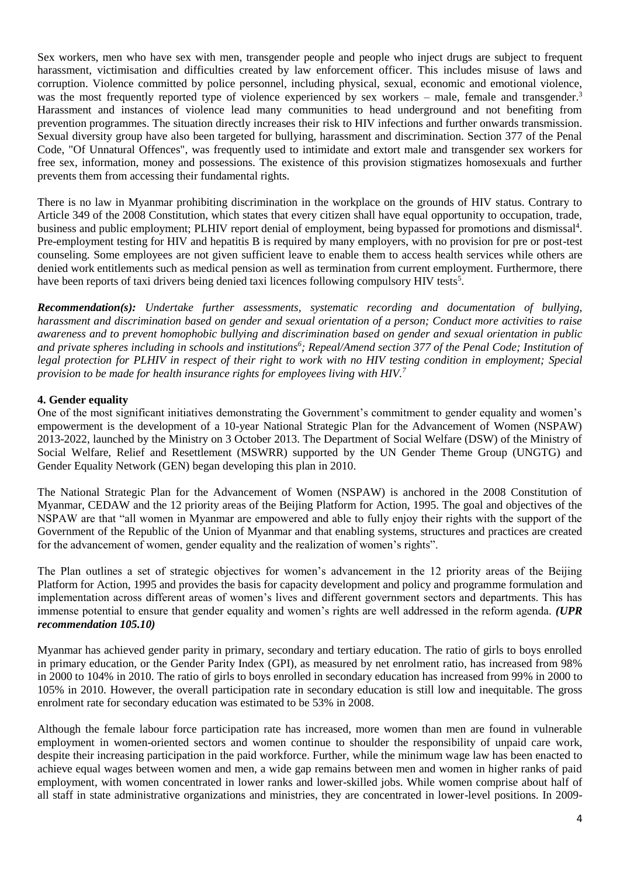Sex workers, men who have sex with men, transgender people and people who inject drugs are subject to frequent harassment, victimisation and difficulties created by law enforcement officer. This includes misuse of laws and corruption. Violence committed by police personnel, including physical, sexual, economic and emotional violence, was the most frequently reported type of violence experienced by sex workers – male, female and transgender.<sup>3</sup> Harassment and instances of violence lead many communities to head underground and not benefiting from prevention programmes. The situation directly increases their risk to HIV infections and further onwards transmission. Sexual diversity group have also been targeted for bullying, harassment and discrimination. Section 377 of the Penal Code, "Of Unnatural Offences", was frequently used to intimidate and extort male and transgender sex workers for free sex, information, money and possessions. The existence of this provision stigmatizes homosexuals and further prevents them from accessing their fundamental rights.

There is no law in Myanmar prohibiting discrimination in the workplace on the grounds of HIV status. Contrary to Article 349 of the 2008 Constitution, which states that every citizen shall have equal opportunity to occupation, trade, business and public employment; PLHIV report denial of employment, being bypassed for promotions and dismissal<sup>4</sup>. Pre-employment testing for HIV and hepatitis B is required by many employers, with no provision for pre or post-test counseling. Some employees are not given sufficient leave to enable them to access health services while others are denied work entitlements such as medical pension as well as termination from current employment. Furthermore, there have been reports of taxi drivers being denied taxi licences following compulsory HIV tests<sup>5</sup>.

*Recommendation(s): Undertake further assessments, systematic recording and documentation of bullying, harassment and discrimination based on gender and sexual orientation of a person; Conduct more activities to raise awareness and to prevent homophobic bullying and discrimination based on gender and sexual orientation in public and private spheres including in schools and institutions<sup>6</sup> ; Repeal/Amend section 377 of the Penal Code; Institution of legal protection for PLHIV in respect of their right to work with no HIV testing condition in employment; Special provision to be made for health insurance rights for employees living with HIV.<sup>7</sup>*

### **4. Gender equality**

One of the most significant initiatives demonstrating the Government's commitment to gender equality and women's empowerment is the development of a 10-year National Strategic Plan for the Advancement of Women (NSPAW) 2013-2022, launched by the Ministry on 3 October 2013. The Department of Social Welfare (DSW) of the Ministry of Social Welfare, Relief and Resettlement (MSWRR) supported by the UN Gender Theme Group (UNGTG) and Gender Equality Network (GEN) began developing this plan in 2010.

The National Strategic Plan for the Advancement of Women (NSPAW) is anchored in the 2008 Constitution of Myanmar, CEDAW and the 12 priority areas of the Beijing Platform for Action, 1995. The goal and objectives of the NSPAW are that "all women in Myanmar are empowered and able to fully enjoy their rights with the support of the Government of the Republic of the Union of Myanmar and that enabling systems, structures and practices are created for the advancement of women, gender equality and the realization of women's rights".

The Plan outlines a set of strategic objectives for women's advancement in the 12 priority areas of the Beijing Platform for Action, 1995 and provides the basis for capacity development and policy and programme formulation and implementation across different areas of women's lives and different government sectors and departments. This has immense potential to ensure that gender equality and women's rights are well addressed in the reform agenda. *(UPR recommendation 105.10)*

Myanmar has achieved gender parity in primary, secondary and tertiary education. The ratio of girls to boys enrolled in primary education, or the Gender Parity Index (GPI), as measured by net enrolment ratio, has increased from 98% in 2000 to 104% in 2010. The ratio of girls to boys enrolled in secondary education has increased from 99% in 2000 to 105% in 2010. However, the overall participation rate in secondary education is still low and inequitable. The gross enrolment rate for secondary education was estimated to be 53% in 2008.

Although the female labour force participation rate has increased, more women than men are found in vulnerable employment in women-oriented sectors and women continue to shoulder the responsibility of unpaid care work, despite their increasing participation in the paid workforce. Further, while the minimum wage law has been enacted to achieve equal wages between women and men, a wide gap remains between men and women in higher ranks of paid employment, with women concentrated in lower ranks and lower-skilled jobs. While women comprise about half of all staff in state administrative organizations and ministries, they are concentrated in lower-level positions. In 2009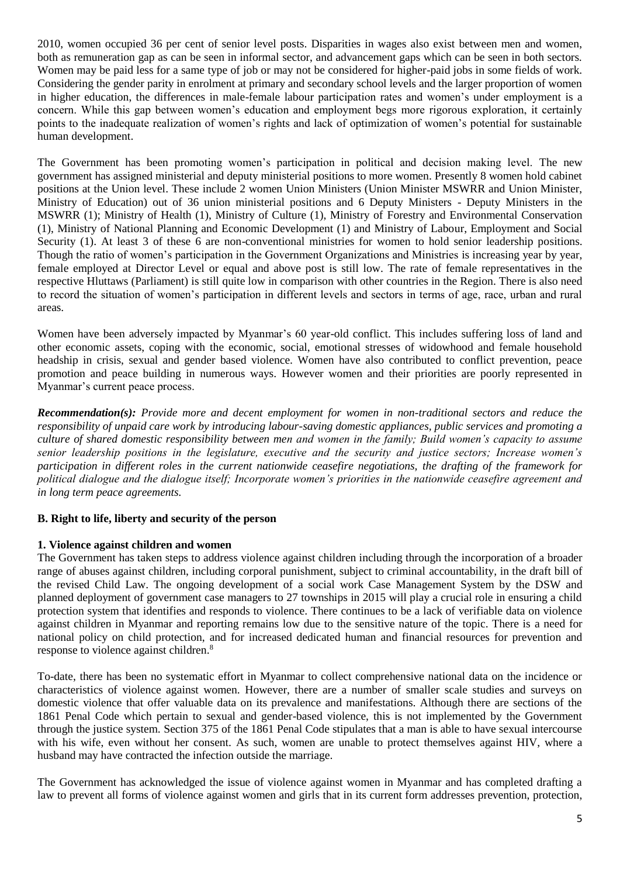2010, women occupied 36 per cent of senior level posts. Disparities in wages also exist between men and women, both as remuneration gap as can be seen in informal sector, and advancement gaps which can be seen in both sectors. Women may be paid less for a same type of job or may not be considered for higher-paid jobs in some fields of work. Considering the gender parity in enrolment at primary and secondary school levels and the larger proportion of women in higher education, the differences in male-female labour participation rates and women's under employment is a concern. While this gap between women's education and employment begs more rigorous exploration, it certainly points to the inadequate realization of women's rights and lack of optimization of women's potential for sustainable human development.

The Government has been promoting women's participation in political and decision making level. The new government has assigned ministerial and deputy ministerial positions to more women. Presently 8 women hold cabinet positions at the Union level. These include 2 women Union Ministers (Union Minister MSWRR and Union Minister, Ministry of Education) out of 36 union ministerial positions and 6 Deputy Ministers - Deputy Ministers in the MSWRR (1); Ministry of Health (1), Ministry of Culture (1), Ministry of Forestry and Environmental Conservation (1), Ministry of National Planning and Economic Development (1) and Ministry of Labour, Employment and Social Security (1). At least 3 of these 6 are non-conventional ministries for women to hold senior leadership positions. Though the ratio of women's participation in the Government Organizations and Ministries is increasing year by year, female employed at Director Level or equal and above post is still low. The rate of female representatives in the respective Hluttaws (Parliament) is still quite low in comparison with other countries in the Region. There is also need to record the situation of women's participation in different levels and sectors in terms of age, race, urban and rural areas.

Women have been adversely impacted by Myanmar's 60 year-old conflict. This includes suffering loss of land and other economic assets, coping with the economic, social, emotional stresses of widowhood and female household headship in crisis, sexual and gender based violence. Women have also contributed to conflict prevention, peace promotion and peace building in numerous ways. However women and their priorities are poorly represented in Myanmar's current peace process.

*Recommendation(s): Provide more and decent employment for women in non-traditional sectors and reduce the responsibility of unpaid care work by introducing labour-saving domestic appliances, public services and promoting a culture of shared domestic responsibility between men and women in the family; Build women's capacity to assume senior leadership positions in the legislature, executive and the security and justice sectors; Increase women's participation in different roles in the current nationwide ceasefire negotiations, the drafting of the framework for political dialogue and the dialogue itself; Incorporate women's priorities in the nationwide ceasefire agreement and in long term peace agreements.* 

## **B. Right to life, liberty and security of the person**

#### **1. Violence against children and women**

The Government has taken steps to address violence against children including through the incorporation of a broader range of abuses against children, including corporal punishment, subject to criminal accountability, in the draft bill of the revised Child Law. The ongoing development of a social work Case Management System by the DSW and planned deployment of government case managers to 27 townships in 2015 will play a crucial role in ensuring a child protection system that identifies and responds to violence. There continues to be a lack of verifiable data on violence against children in Myanmar and reporting remains low due to the sensitive nature of the topic. There is a need for national policy on child protection, and for increased dedicated human and financial resources for prevention and response to violence against children.<sup>8</sup>

To-date, there has been no systematic effort in Myanmar to collect comprehensive national data on the incidence or characteristics of violence against women. However, there are a number of smaller scale studies and surveys on domestic violence that offer valuable data on its prevalence and manifestations. Although there are sections of the 1861 Penal Code which pertain to sexual and gender-based violence, this is not implemented by the Government through the justice system. Section 375 of the 1861 Penal Code stipulates that a man is able to have sexual intercourse with his wife, even without her consent. As such, women are unable to protect themselves against HIV, where a husband may have contracted the infection outside the marriage.

The Government has acknowledged the issue of violence against women in Myanmar and has completed drafting a law to prevent all forms of violence against women and girls that in its current form addresses prevention, protection,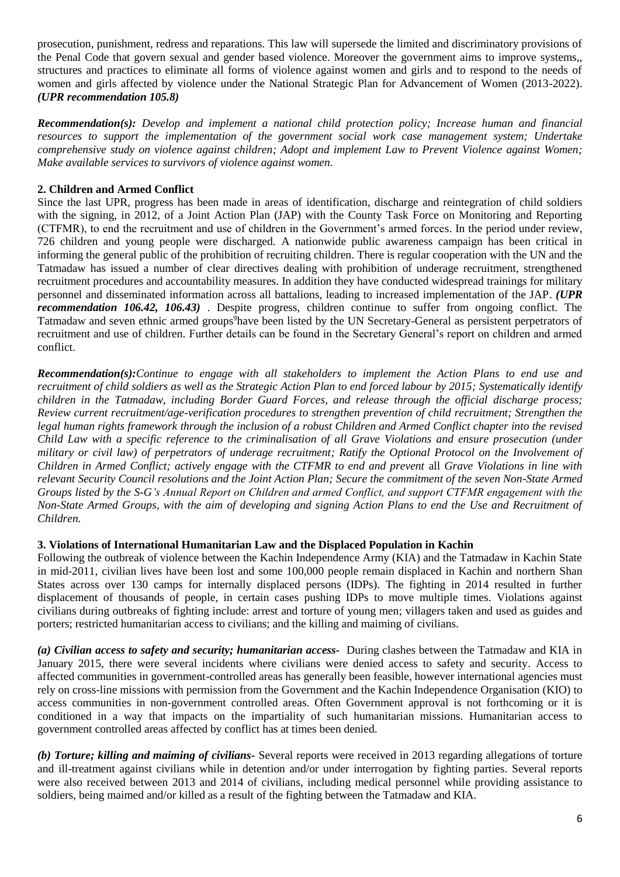prosecution, punishment, redress and reparations. This law will supersede the limited and discriminatory provisions of the Penal Code that govern sexual and gender based violence. Moreover the government aims to improve systems,, structures and practices to eliminate all forms of violence against women and girls and to respond to the needs of women and girls affected by violence under the National Strategic Plan for Advancement of Women (2013-2022). *(UPR recommendation 105.8)*

*Recommendation(s): Develop and implement a national child protection policy; Increase human and financial resources to support the implementation of the government social work case management system; Undertake comprehensive study on violence against children; Adopt and implement Law to Prevent Violence against Women; Make available services to survivors of violence against women.*

# **2. Children and Armed Conflict**

Since the last UPR, progress has been made in areas of identification, discharge and reintegration of child soldiers with the signing, in 2012, of a Joint Action Plan (JAP) with the County Task Force on Monitoring and Reporting (CTFMR), to end the recruitment and use of children in the Government's armed forces. In the period under review, 726 children and young people were discharged. A nationwide public awareness campaign has been critical in informing the general public of the prohibition of recruiting children. There is regular cooperation with the UN and the Tatmadaw has issued a number of clear directives dealing with prohibition of underage recruitment, strengthened recruitment procedures and accountability measures. In addition they have conducted widespread trainings for military personnel and disseminated information across all battalions, leading to increased implementation of the JAP. *(UPR recommendation 106.42, 106.43)* . Despite progress, children continue to suffer from ongoing conflict. The Tatmadaw and seven ethnic armed groups<sup>9</sup>have been listed by the UN Secretary-General as persistent perpetrators of recruitment and use of children. Further details can be found in the Secretary General's report on children and armed conflict.

*Recommendation(s):Continue to engage with all stakeholders to implement the Action Plans to end use and recruitment of child soldiers as well as the Strategic Action Plan to end forced labour by 2015; Systematically identify children in the Tatmadaw, including Border Guard Forces, and release through the official discharge process; Review current recruitment/age-verification procedures to strengthen prevention of child recruitment; Strengthen the legal human rights framework through the inclusion of a robust Children and Armed Conflict chapter into the revised Child Law with a specific reference to the criminalisation of all Grave Violations and ensure prosecution (under military or civil law) of perpetrators of underage recruitment; Ratify the Optional Protocol on the Involvement of Children in Armed Conflict; actively engage with the CTFMR to end and prevent* all *Grave Violations in line with relevant Security Council resolutions and the Joint Action Plan; Secure the commitment of the seven Non-State Armed Groups listed by the S-G's Annual Report on Children and armed Conflict, and support CTFMR engagement with the Non-State Armed Groups, with the aim of developing and signing Action Plans to end the Use and Recruitment of Children.*

# **3. Violations of International Humanitarian Law and the Displaced Population in Kachin**

Following the outbreak of violence between the Kachin Independence Army (KIA) and the Tatmadaw in Kachin State in mid-2011, civilian lives have been lost and some 100,000 people remain displaced in Kachin and northern Shan States across over 130 camps for internally displaced persons (IDPs). The fighting in 2014 resulted in further displacement of thousands of people, in certain cases pushing IDPs to move multiple times. Violations against civilians during outbreaks of fighting include: arrest and torture of young men; villagers taken and used as guides and porters; restricted humanitarian access to civilians; and the killing and maiming of civilians.

*(a) Civilian access to safety and security; humanitarian access-* During clashes between the Tatmadaw and KIA in January 2015, there were several incidents where civilians were denied access to safety and security. Access to affected communities in government-controlled areas has generally been feasible, however international agencies must rely on cross-line missions with permission from the Government and the Kachin Independence Organisation (KIO) to access communities in non-government controlled areas. Often Government approval is not forthcoming or it is conditioned in a way that impacts on the impartiality of such humanitarian missions. Humanitarian access to government controlled areas affected by conflict has at times been denied.

*(b) Torture; killing and maiming of civilians-* Several reports were received in 2013 regarding allegations of torture and ill-treatment against civilians while in detention and/or under interrogation by fighting parties. Several reports were also received between 2013 and 2014 of civilians, including medical personnel while providing assistance to soldiers, being maimed and/or killed as a result of the fighting between the Tatmadaw and KIA.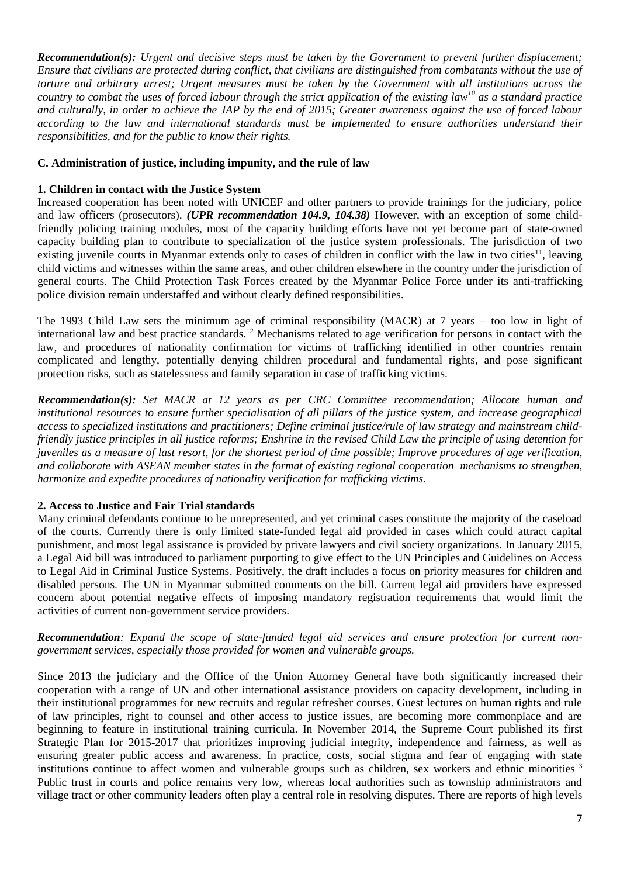*Recommendation(s): Urgent and decisive steps must be taken by the Government to prevent further displacement; Ensure that civilians are protected during conflict, that civilians are distinguished from combatants without the use of torture and arbitrary arrest; Urgent measures must be taken by the Government with all institutions across the country to combat the uses of forced labour through the strict application of the existing law<sup>10</sup> as a standard practice and culturally, in order to achieve the JAP by the end of 2015; Greater awareness against the use of forced labour according to the law and international standards must be implemented to ensure authorities understand their responsibilities, and for the public to know their rights.*

# **C. Administration of justice, including impunity, and the rule of law**

# **1. Children in contact with the Justice System**

Increased cooperation has been noted with UNICEF and other partners to provide trainings for the judiciary, police and law officers (prosecutors). *(UPR recommendation 104.9, 104.38)* However, with an exception of some childfriendly policing training modules, most of the capacity building efforts have not yet become part of state-owned capacity building plan to contribute to specialization of the justice system professionals. The jurisdiction of two existing juvenile courts in Myanmar extends only to cases of children in conflict with the law in two cities<sup>11</sup>, leaving child victims and witnesses within the same areas, and other children elsewhere in the country under the jurisdiction of general courts. The Child Protection Task Forces created by the Myanmar Police Force under its anti-trafficking police division remain understaffed and without clearly defined responsibilities.

The 1993 Child Law sets the minimum age of criminal responsibility (MACR) at 7 years – too low in light of international law and best practice standards.<sup>12</sup> Mechanisms related to age verification for persons in contact with the law, and procedures of nationality confirmation for victims of trafficking identified in other countries remain complicated and lengthy, potentially denying children procedural and fundamental rights, and pose significant protection risks, such as statelessness and family separation in case of trafficking victims.

*Recommendation(s): Set MACR at 12 years as per CRC Committee recommendation; Allocate human and institutional resources to ensure further specialisation of all pillars of the justice system, and increase geographical access to specialized institutions and practitioners; Define criminal justice/rule of law strategy and mainstream childfriendly justice principles in all justice reforms; Enshrine in the revised Child Law the principle of using detention for juveniles as a measure of last resort, for the shortest period of time possible; Improve procedures of age verification, and collaborate with ASEAN member states in the format of existing regional cooperation mechanisms to strengthen, harmonize and expedite procedures of nationality verification for trafficking victims.*

## **2. Access to Justice and Fair Trial standards**

Many criminal defendants continue to be unrepresented, and yet criminal cases constitute the majority of the caseload of the courts. Currently there is only limited state-funded legal aid provided in cases which could attract capital punishment, and most legal assistance is provided by private lawyers and civil society organizations. In January 2015, a Legal Aid bill was introduced to parliament purporting to give effect to the UN Principles and Guidelines on Access to Legal Aid in Criminal Justice Systems. Positively, the draft includes a focus on priority measures for children and disabled persons. The UN in Myanmar submitted comments on the bill. Current legal aid providers have expressed concern about potential negative effects of imposing mandatory registration requirements that would limit the activities of current non-government service providers.

### *Recommendation: Expand the scope of state-funded legal aid services and ensure protection for current nongovernment services, especially those provided for women and vulnerable groups.*

Since 2013 the judiciary and the Office of the Union Attorney General have both significantly increased their cooperation with a range of UN and other international assistance providers on capacity development, including in their institutional programmes for new recruits and regular refresher courses. Guest lectures on human rights and rule of law principles, right to counsel and other access to justice issues, are becoming more commonplace and are beginning to feature in institutional training curricula. In November 2014, the Supreme Court published its first Strategic Plan for 2015-2017 that prioritizes improving judicial integrity, independence and fairness, as well as ensuring greater public access and awareness. In practice, costs, social stigma and fear of engaging with state institutions continue to affect women and vulnerable groups such as children, sex workers and ethnic minorities<sup>13</sup> Public trust in courts and police remains very low, whereas local authorities such as township administrators and village tract or other community leaders often play a central role in resolving disputes. There are reports of high levels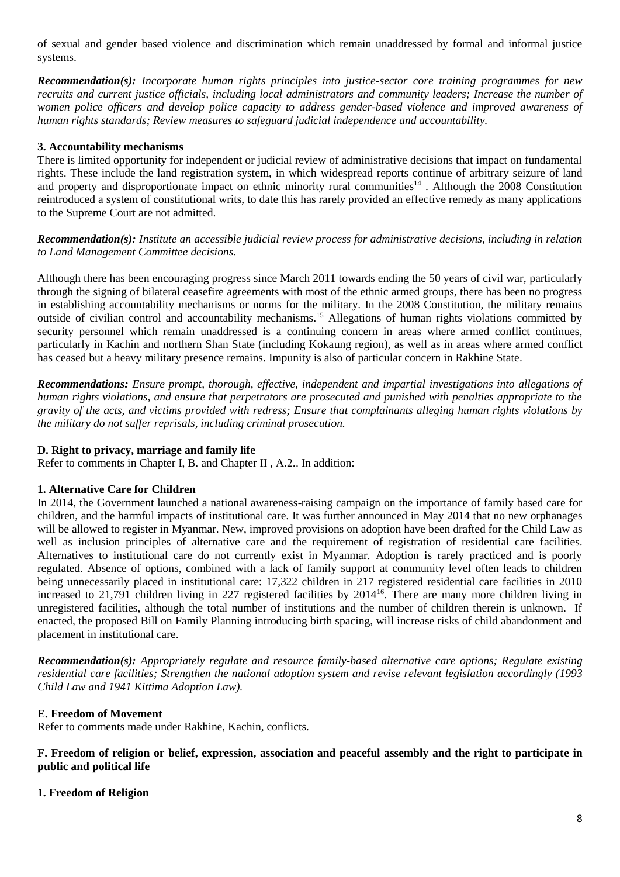of sexual and gender based violence and discrimination which remain unaddressed by formal and informal justice systems.

*Recommendation(s): Incorporate human rights principles into justice-sector core training programmes for new recruits and current justice officials, including local administrators and community leaders; Increase the number of women police officers and develop police capacity to address gender-based violence and improved awareness of human rights standards; Review measures to safeguard judicial independence and accountability.*

### **3. Accountability mechanisms**

There is limited opportunity for independent or judicial review of administrative decisions that impact on fundamental rights. These include the land registration system, in which widespread reports continue of arbitrary seizure of land and property and disproportionate impact on ethnic minority rural communities<sup>14</sup>. Although the 2008 Constitution reintroduced a system of constitutional writs, to date this has rarely provided an effective remedy as many applications to the Supreme Court are not admitted.

*Recommendation(s): Institute an accessible judicial review process for administrative decisions, including in relation to Land Management Committee decisions.*

Although there has been encouraging progress since March 2011 towards ending the 50 years of civil war, particularly through the signing of bilateral ceasefire agreements with most of the ethnic armed groups, there has been no progress in establishing accountability mechanisms or norms for the military. In the 2008 Constitution, the military remains outside of civilian control and accountability mechanisms.<sup>15</sup> Allegations of human rights violations committed by security personnel which remain unaddressed is a continuing concern in areas where armed conflict continues, particularly in Kachin and northern Shan State (including Kokaung region), as well as in areas where armed conflict has ceased but a heavy military presence remains. Impunity is also of particular concern in Rakhine State.

*Recommendations: Ensure prompt, thorough, effective, independent and impartial investigations into allegations of human rights violations, and ensure that perpetrators are prosecuted and punished with penalties appropriate to the gravity of the acts, and victims provided with redress; Ensure that complainants alleging human rights violations by the military do not suffer reprisals, including criminal prosecution.* 

#### **D. Right to privacy, marriage and family life**

Refer to comments in Chapter I, B. and Chapter II , A.2.. In addition:

#### **1. Alternative Care for Children**

In 2014, the Government launched a national awareness-raising campaign on the importance of family based care for children, and the harmful impacts of institutional care. It was further announced in May 2014 that no new orphanages will be allowed to register in Myanmar. New, improved provisions on adoption have been drafted for the Child Law as well as inclusion principles of alternative care and the requirement of registration of residential care facilities. Alternatives to institutional care do not currently exist in Myanmar. Adoption is rarely practiced and is poorly regulated. Absence of options, combined with a lack of family support at community level often leads to children being unnecessarily placed in institutional care: 17,322 children in 217 registered residential care facilities in 2010 increased to 21,791 children living in 227 registered facilities by 2014<sup>16</sup>. There are many more children living in unregistered facilities, although the total number of institutions and the number of children therein is unknown. If enacted, the proposed Bill on Family Planning introducing birth spacing, will increase risks of child abandonment and placement in institutional care.

*Recommendation(s): Appropriately regulate and resource family-based alternative care options; Regulate existing residential care facilities; Strengthen the national adoption system and revise relevant legislation accordingly (1993 Child Law and 1941 Kittima Adoption Law).*

#### **E. Freedom of Movement**

Refer to comments made under Rakhine, Kachin, conflicts.

#### **F. Freedom of religion or belief, expression, association and peaceful assembly and the right to participate in public and political life**

#### **1. Freedom of Religion**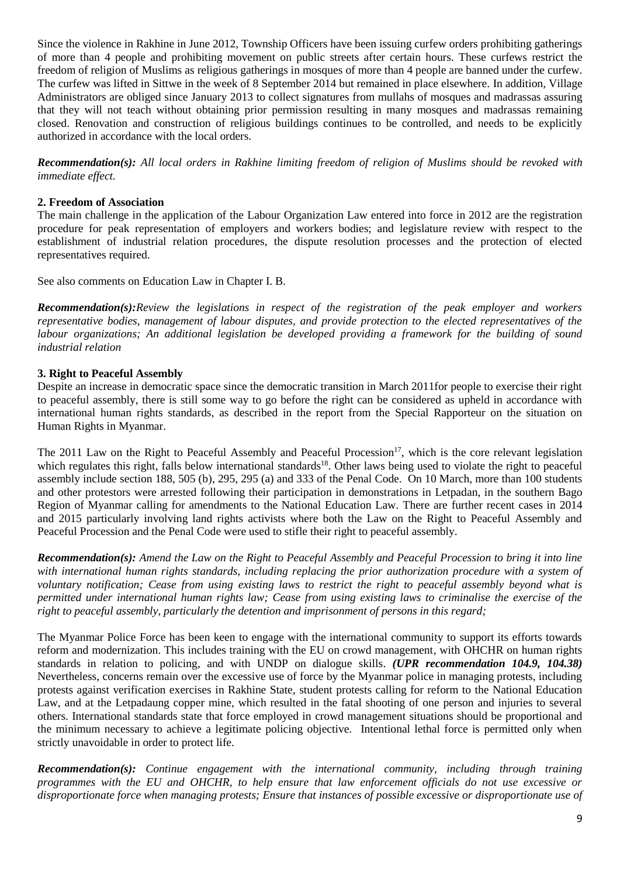Since the violence in Rakhine in June 2012, Township Officers have been issuing curfew orders prohibiting gatherings of more than 4 people and prohibiting movement on public streets after certain hours. These curfews restrict the freedom of religion of Muslims as religious gatherings in mosques of more than 4 people are banned under the curfew. The curfew was lifted in Sittwe in the week of 8 September 2014 but remained in place elsewhere. In addition, Village Administrators are obliged since January 2013 to collect signatures from mullahs of mosques and madrassas assuring that they will not teach without obtaining prior permission resulting in many mosques and madrassas remaining closed. Renovation and construction of religious buildings continues to be controlled, and needs to be explicitly authorized in accordance with the local orders.

*Recommendation(s): All local orders in Rakhine limiting freedom of religion of Muslims should be revoked with immediate effect.*

### **2. Freedom of Association**

The main challenge in the application of the Labour Organization Law entered into force in 2012 are the registration procedure for peak representation of employers and workers bodies; and legislature review with respect to the establishment of industrial relation procedures, the dispute resolution processes and the protection of elected representatives required.

See also comments on Education Law in Chapter I. B.

*Recommendation(s):Review the legislations in respect of the registration of the peak employer and workers representative bodies, management of labour disputes, and provide protection to the elected representatives of the* labour organizations; An additional legislation be developed providing a framework for the building of sound *industrial relation* 

### **3. Right to Peaceful Assembly**

Despite an increase in democratic space since the democratic transition in March 2011for people to exercise their right to peaceful assembly, there is still some way to go before the right can be considered as upheld in accordance with international human rights standards, as described in the report from the Special Rapporteur on the situation on Human Rights in Myanmar.

The 2011 Law on the Right to Peaceful Assembly and Peaceful Procession<sup>17</sup>, which is the core relevant legislation which regulates this right, falls below international standards<sup>18</sup>. Other laws being used to violate the right to peaceful assembly include section 188, 505 (b), 295, 295 (a) and 333 of the Penal Code. On 10 March, more than 100 students and other protestors were arrested following their participation in demonstrations in Letpadan, in the southern Bago Region of Myanmar calling for amendments to the National Education Law. There are further recent cases in 2014 and 2015 particularly involving land rights activists where both the Law on the Right to Peaceful Assembly and Peaceful Procession and the Penal Code were used to stifle their right to peaceful assembly.

*Recommendation(s): Amend the Law on the Right to Peaceful Assembly and Peaceful Procession to bring it into line*  with international human rights standards, including replacing the prior authorization procedure with a system of *voluntary notification; Cease from using existing laws to restrict the right to peaceful assembly beyond what is permitted under international human rights law; Cease from using existing laws to criminalise the exercise of the right to peaceful assembly, particularly the detention and imprisonment of persons in this regard;*

The Myanmar Police Force has been keen to engage with the international community to support its efforts towards reform and modernization. This includes training with the EU on crowd management, with OHCHR on human rights standards in relation to policing, and with UNDP on dialogue skills. *(UPR recommendation 104.9, 104.38)* Nevertheless, concerns remain over the excessive use of force by the Myanmar police in managing protests, including protests against verification exercises in Rakhine State, student protests calling for reform to the National Education Law, and at the Letpadaung copper mine, which resulted in the fatal shooting of one person and injuries to several others. International standards state that force employed in crowd management situations should be proportional and the minimum necessary to achieve a legitimate policing objective. Intentional lethal force is permitted only when strictly unavoidable in order to protect life.

*Recommendation(s): Continue engagement with the international community, including through training programmes with the EU and OHCHR, to help ensure that law enforcement officials do not use excessive or disproportionate force when managing protests; Ensure that instances of possible excessive or disproportionate use of*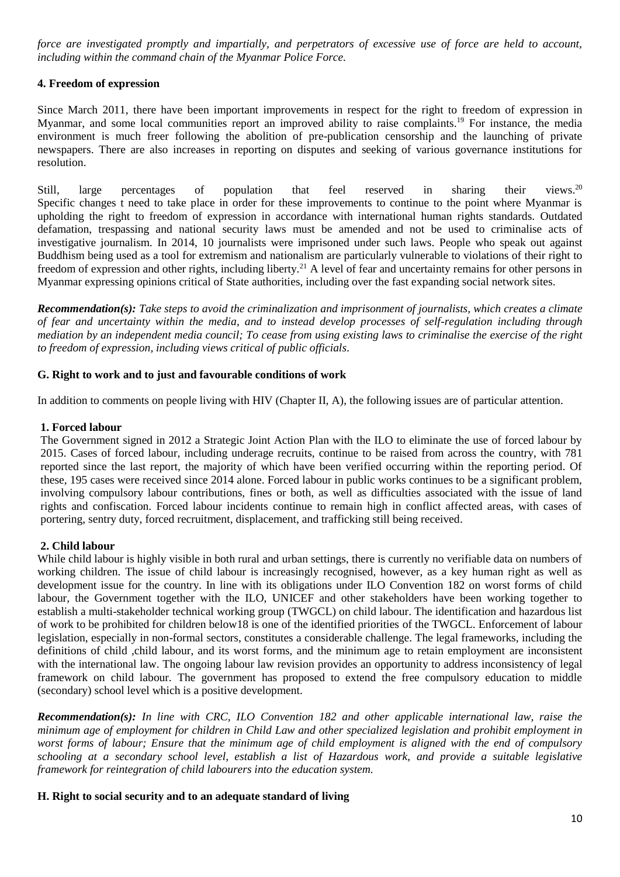*force are investigated promptly and impartially, and perpetrators of excessive use of force are held to account, including within the command chain of the Myanmar Police Force.* 

### **4. Freedom of expression**

Since March 2011, there have been important improvements in respect for the right to freedom of expression in Myanmar, and some local communities report an improved ability to raise complaints.<sup>19</sup> For instance, the media environment is much freer following the abolition of pre-publication censorship and the launching of private newspapers. There are also increases in reporting on disputes and seeking of various governance institutions for resolution.

Still, large percentages of population that feel reserved in sharing their views. views. $20$ Specific changes t need to take place in order for these improvements to continue to the point where Myanmar is upholding the right to freedom of expression in accordance with international human rights standards. Outdated defamation, trespassing and national security laws must be amended and not be used to criminalise acts of investigative journalism. In 2014, 10 journalists were imprisoned under such laws. People who speak out against Buddhism being used as a tool for extremism and nationalism are particularly vulnerable to violations of their right to freedom of expression and other rights, including liberty.<sup>21</sup> A level of fear and uncertainty remains for other persons in Myanmar expressing opinions critical of State authorities, including over the fast expanding social network sites.

*Recommendation(s): Take steps to avoid the criminalization and imprisonment of journalists, which creates a climate of fear and uncertainty within the media, and to instead develop processes of self-regulation including through mediation by an independent media council; To cease from using existing laws to criminalise the exercise of the right to freedom of expression, including views critical of public officials.*

### **G. Right to work and to just and favourable conditions of work**

In addition to comments on people living with HIV (Chapter II, A), the following issues are of particular attention.

### **1. Forced labour**

The Government signed in 2012 a Strategic Joint Action Plan with the ILO to eliminate the use of forced labour by 2015. Cases of forced labour, including underage recruits, continue to be raised from across the country, with 781 reported since the last report, the majority of which have been verified occurring within the reporting period. Of these, 195 cases were received since 2014 alone. Forced labour in public works continues to be a significant problem, involving compulsory labour contributions, fines or both, as well as difficulties associated with the issue of land rights and confiscation. Forced labour incidents continue to remain high in conflict affected areas, with cases of portering, sentry duty, forced recruitment, displacement, and trafficking still being received.

#### **2. Child labour**

While child labour is highly visible in both rural and urban settings, there is currently no verifiable data on numbers of working children. The issue of child labour is increasingly recognised, however, as a key human right as well as development issue for the country. In line with its obligations under ILO Convention 182 on worst forms of child labour, the Government together with the ILO, UNICEF and other stakeholders have been working together to establish a multi-stakeholder technical working group (TWGCL) on child labour. The identification and hazardous list of work to be prohibited for children below18 is one of the identified priorities of the TWGCL. Enforcement of labour legislation, especially in non-formal sectors, constitutes a considerable challenge. The legal frameworks, including the definitions of child ,child labour, and its worst forms, and the minimum age to retain employment are inconsistent with the international law. The ongoing labour law revision provides an opportunity to address inconsistency of legal framework on child labour. The government has proposed to extend the free compulsory education to middle (secondary) school level which is a positive development.

*Recommendation(s): In line with CRC, ILO Convention 182 and other applicable international law, raise the minimum age of employment for children in Child Law and other specialized legislation and prohibit employment in worst forms of labour; Ensure that the minimum age of child employment is aligned with the end of compulsory schooling at a secondary school level, establish a list of Hazardous work, and provide a suitable legislative framework for reintegration of child labourers into the education system.*

#### **H. Right to social security and to an adequate standard of living**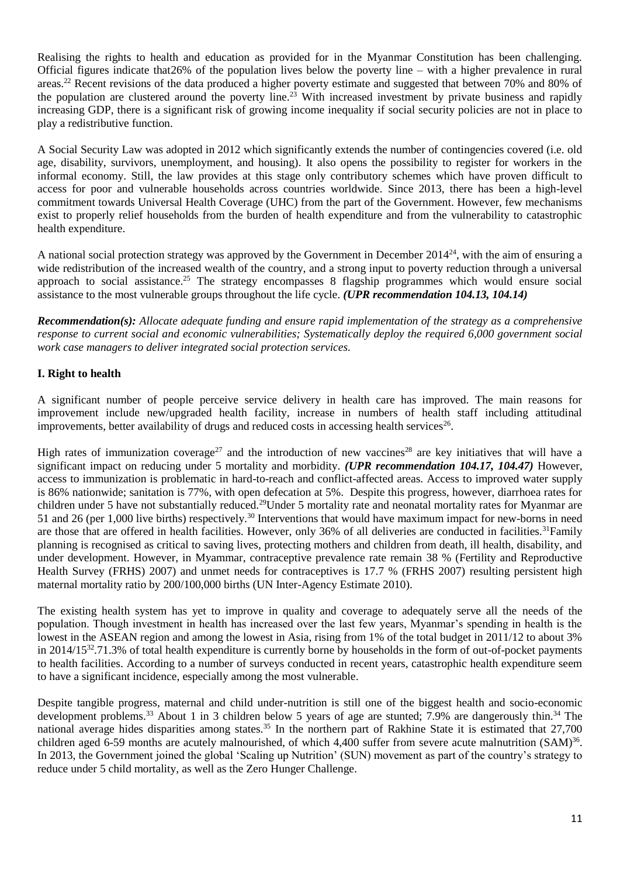Realising the rights to health and education as provided for in the Myanmar Constitution has been challenging. Official figures indicate that26% of the population lives below the poverty line – with a higher prevalence in rural areas.<sup>22</sup> Recent revisions of the data produced a higher poverty estimate and suggested that between 70% and 80% of the population are clustered around the poverty line.<sup>23</sup> With increased investment by private business and rapidly increasing GDP, there is a significant risk of growing income inequality if social security policies are not in place to play a redistributive function.

A Social Security Law was adopted in 2012 which significantly extends the number of contingencies covered (i.e. old age, disability, survivors, unemployment, and housing). It also opens the possibility to register for workers in the informal economy. Still, the law provides at this stage only contributory schemes which have proven difficult to access for poor and vulnerable households across countries worldwide. Since 2013, there has been a high-level commitment towards Universal Health Coverage (UHC) from the part of the Government. However, few mechanisms exist to properly relief households from the burden of health expenditure and from the vulnerability to catastrophic health expenditure.

A national social protection strategy was approved by the Government in December 2014<sup>24</sup>, with the aim of ensuring a wide redistribution of the increased wealth of the country, and a strong input to poverty reduction through a universal approach to social assistance.<sup>25</sup> The strategy encompasses 8 flagship programmes which would ensure social assistance to the most vulnerable groups throughout the life cycle. *(UPR recommendation 104.13, 104.14)*

*Recommendation(s): Allocate adequate funding and ensure rapid implementation of the strategy as a comprehensive response to current social and economic vulnerabilities; Systematically deploy the required 6,000 government social work case managers to deliver integrated social protection services.*

# **I. Right to health**

A significant number of people perceive service delivery in health care has improved. The main reasons for improvement include new/upgraded health facility, increase in numbers of health staff including attitudinal improvements, better availability of drugs and reduced costs in accessing health services<sup>26</sup>.

High rates of immunization coverage<sup>27</sup> and the introduction of new vaccines<sup>28</sup> are key initiatives that will have a significant impact on reducing under 5 mortality and morbidity. *(UPR recommendation 104.17, 104.47)* However, access to immunization is problematic in hard-to-reach and conflict-affected areas. Access to improved water supply is 86% nationwide; sanitation is 77%, with open defecation at 5%. Despite this progress, however, diarrhoea rates for children under 5 have not substantially reduced.<sup>29</sup>Under 5 mortality rate and neonatal mortality rates for Myanmar are 51 and 26 (per 1,000 live births) respectively.<sup>30</sup> Interventions that would have maximum impact for new-borns in need are those that are offered in health facilities. However, only 36% of all deliveries are conducted in facilities.<sup>31</sup>Family planning is recognised as critical to saving lives, protecting mothers and children from death, ill health, disability, and under development. However, in Myammar, contraceptive prevalence rate remain 38 % (Fertility and Reproductive Health Survey (FRHS) 2007) and unmet needs for contraceptives is 17.7 % (FRHS 2007) resulting persistent high maternal mortality ratio by 200/100,000 births (UN Inter-Agency Estimate 2010).

The existing health system has yet to improve in quality and coverage to adequately serve all the needs of the population. Though investment in health has increased over the last few years, Myanmar's spending in health is the lowest in the ASEAN region and among the lowest in Asia, rising from 1% of the total budget in 2011/12 to about 3% in 2014/15<sup>32</sup>.71.3% of total health expenditure is currently borne by households in the form of out-of-pocket payments to health facilities. According to a number of surveys conducted in recent years, catastrophic health expenditure seem to have a significant incidence, especially among the most vulnerable.

Despite tangible progress, maternal and child under-nutrition is still one of the biggest health and socio-economic development problems.<sup>33</sup> About 1 in 3 children below 5 years of age are stunted; 7.9% are dangerously thin.<sup>34</sup> The national average hides disparities among states.<sup>35</sup> In the northern part of Rakhine State it is estimated that 27,700 children aged 6-59 months are acutely malnourished, of which 4,400 suffer from severe acute malnutrition (SAM)<sup>36</sup>. In 2013, the Government joined the global 'Scaling up Nutrition' (SUN) movement as part of the country's strategy to reduce under 5 child mortality, as well as the Zero Hunger Challenge.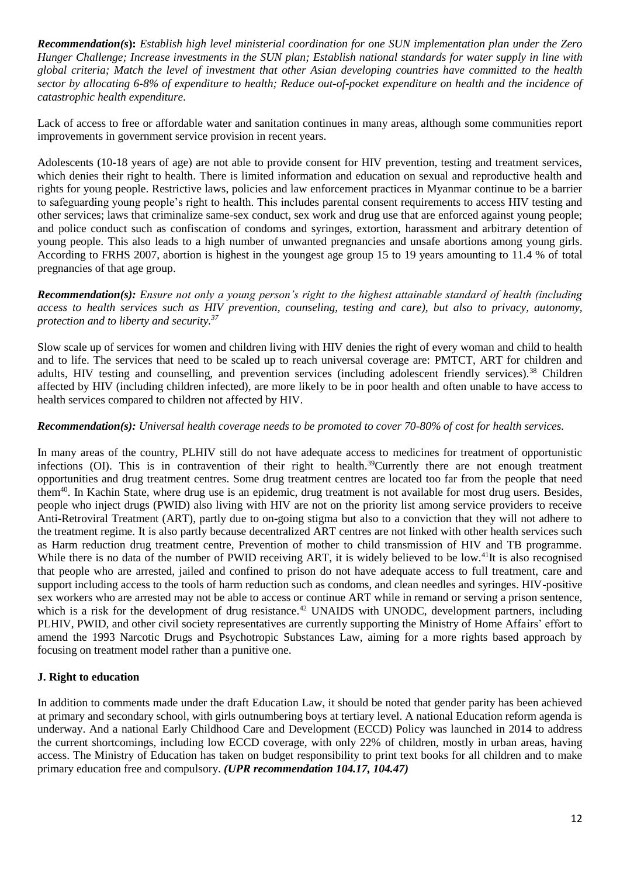*Recommendation(s***):** *Establish high level ministerial coordination for one SUN implementation plan under the Zero Hunger Challenge; Increase investments in the SUN plan; Establish national standards for water supply in line with global criteria; Match the level of investment that other Asian developing countries have committed to the health sector by allocating 6-8% of expenditure to health; Reduce out-of-pocket expenditure on health and the incidence of catastrophic health expenditure.*

Lack of access to free or affordable water and sanitation continues in many areas, although some communities report improvements in government service provision in recent years.

Adolescents (10-18 years of age) are not able to provide consent for HIV prevention, testing and treatment services, which denies their right to health. There is limited information and education on sexual and reproductive health and rights for young people. Restrictive laws, policies and law enforcement practices in Myanmar continue to be a barrier to safeguarding young people's right to health. This includes parental consent requirements to access HIV testing and other services; laws that criminalize same-sex conduct, sex work and drug use that are enforced against young people; and police conduct such as confiscation of condoms and syringes, extortion, harassment and arbitrary detention of young people. This also leads to a high number of unwanted pregnancies and unsafe abortions among young girls. According to FRHS 2007, abortion is highest in the youngest age group 15 to 19 years amounting to 11.4 % of total pregnancies of that age group.

*Recommendation(s): Ensure not only a young person's right to the highest attainable standard of health (including access to health services such as HIV prevention, counseling, testing and care), but also to privacy, autonomy, protection and to liberty and security.<sup>37</sup>*

Slow scale up of services for women and children living with HIV denies the right of every woman and child to health and to life. The services that need to be scaled up to reach universal coverage are: PMTCT, ART for children and adults, HIV testing and counselling, and prevention services (including adolescent friendly services).<sup>38</sup> Children affected by HIV (including children infected), are more likely to be in poor health and often unable to have access to health services compared to children not affected by HIV.

### *Recommendation(s): Universal health coverage needs to be promoted to cover 70-80% of cost for health services.*

In many areas of the country, PLHIV still do not have adequate access to medicines for treatment of opportunistic infections (OI). This is in contravention of their right to health.<sup>39</sup>Currently there are not enough treatment opportunities and drug treatment centres. Some drug treatment centres are located too far from the people that need them<sup>40</sup>. In Kachin State, where drug use is an epidemic, drug treatment is not available for most drug users. Besides, people who inject drugs (PWID) also living with HIV are not on the priority list among service providers to receive Anti-Retroviral Treatment (ART), partly due to on-going stigma but also to a conviction that they will not adhere to the treatment regime. It is also partly because decentralized ART centres are not linked with other health services such as Harm reduction drug treatment centre, Prevention of mother to child transmission of HIV and TB programme. While there is no data of the number of PWID receiving ART, it is widely believed to be low.<sup>41</sup>It is also recognised that people who are arrested, jailed and confined to prison do not have adequate access to full treatment, care and support including access to the tools of harm reduction such as condoms, and clean needles and syringes. HIV-positive sex workers who are arrested may not be able to access or continue ART while in remand or serving a prison sentence, which is a risk for the development of drug resistance.<sup>42</sup> UNAIDS with UNODC, development partners, including PLHIV, PWID, and other civil society representatives are currently supporting the Ministry of Home Affairs' effort to amend the 1993 Narcotic Drugs and Psychotropic Substances Law, aiming for a more rights based approach by focusing on treatment model rather than a punitive one.

## **J. Right to education**

In addition to comments made under the draft Education Law, it should be noted that gender parity has been achieved at primary and secondary school, with girls outnumbering boys at tertiary level. A national Education reform agenda is underway. And a national Early Childhood Care and Development (ECCD) Policy was launched in 2014 to address the current shortcomings, including low ECCD coverage, with only 22% of children, mostly in urban areas, having access. The Ministry of Education has taken on budget responsibility to print text books for all children and to make primary education free and compulsory. *(UPR recommendation 104.17, 104.47)*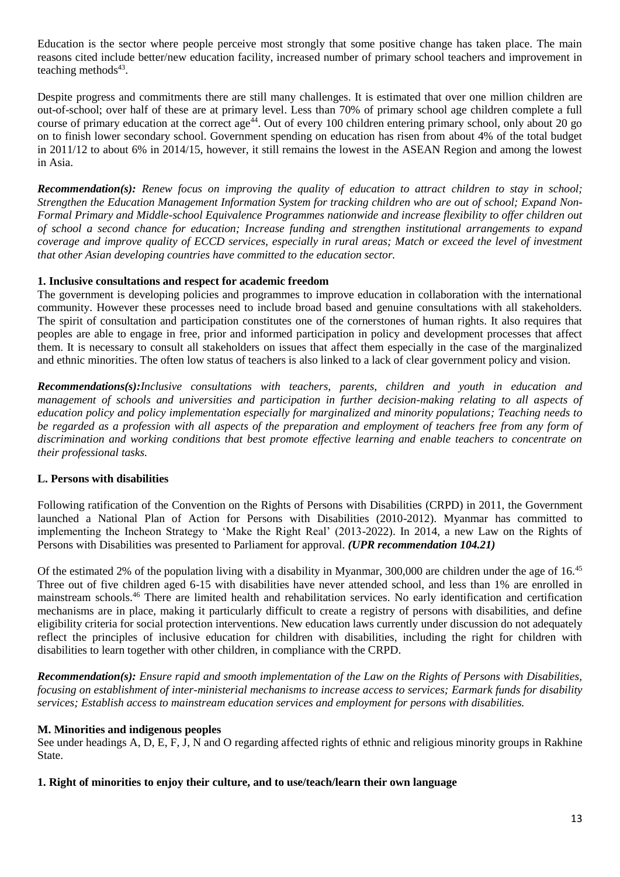Education is the sector where people perceive most strongly that some positive change has taken place. The main reasons cited include better/new education facility, increased number of primary school teachers and improvement in teaching methods<sup>43</sup>.

Despite progress and commitments there are still many challenges. It is estimated that over one million children are out-of-school; over half of these are at primary level. Less than 70% of primary school age children complete a full course of primary education at the correct age<sup>44</sup>. Out of every 100 children entering primary school, only about 20 go on to finish lower secondary school. Government spending on education has risen from about 4% of the total budget in 2011/12 to about 6% in 2014/15, however, it still remains the lowest in the ASEAN Region and among the lowest in Asia.

*Recommendation(s): Renew focus on improving the quality of education to attract children to stay in school; Strengthen the Education Management Information System for tracking children who are out of school; Expand Non-Formal Primary and Middle-school Equivalence Programmes nationwide and increase flexibility to offer children out of school a second chance for education; Increase funding and strengthen institutional arrangements to expand coverage and improve quality of ECCD services, especially in rural areas; Match or exceed the level of investment that other Asian developing countries have committed to the education sector.*

## **1. Inclusive consultations and respect for academic freedom**

The government is developing policies and programmes to improve education in collaboration with the international community. However these processes need to include broad based and genuine consultations with all stakeholders. The spirit of consultation and participation constitutes one of the cornerstones of human rights. It also requires that peoples are able to engage in free, prior and informed participation in policy and development processes that affect them. It is necessary to consult all stakeholders on issues that affect them especially in the case of the marginalized and ethnic minorities. The often low status of teachers is also linked to a lack of clear government policy and vision.

*Recommendations(s):Inclusive consultations with teachers, parents, children and youth in education and management of schools and universities and participation in further decision-making relating to all aspects of education policy and policy implementation especially for marginalized and minority populations; Teaching needs to*  be regarded as a profession with all aspects of the preparation and employment of teachers free from any form of *discrimination and working conditions that best promote effective learning and enable teachers to concentrate on their professional tasks.* 

## **L. Persons with disabilities**

Following ratification of the Convention on the Rights of Persons with Disabilities (CRPD) in 2011, the Government launched a National Plan of Action for Persons with Disabilities (2010-2012). Myanmar has committed to implementing the Incheon Strategy to 'Make the Right Real' (2013-2022). In 2014, a new Law on the Rights of Persons with Disabilities was presented to Parliament for approval. *(UPR recommendation 104.21)*

Of the estimated 2% of the population living with a disability in Myanmar, 300,000 are children under the age of 16.<sup>45</sup> Three out of five children aged 6-15 with disabilities have never attended school, and less than 1% are enrolled in mainstream schools.<sup>46</sup> There are limited health and rehabilitation services. No early identification and certification mechanisms are in place, making it particularly difficult to create a registry of persons with disabilities, and define eligibility criteria for social protection interventions. New education laws currently under discussion do not adequately reflect the principles of inclusive education for children with disabilities, including the right for children with disabilities to learn together with other children, in compliance with the CRPD.

*Recommendation(s): Ensure rapid and smooth implementation of the Law on the Rights of Persons with Disabilities, focusing on establishment of inter-ministerial mechanisms to increase access to services; Earmark funds for disability services; Establish access to mainstream education services and employment for persons with disabilities.*

#### **M. Minorities and indigenous peoples**

See under headings A, D, E, F, J, N and O regarding affected rights of ethnic and religious minority groups in Rakhine State.

#### **1. Right of minorities to enjoy their culture, and to use/teach/learn their own language**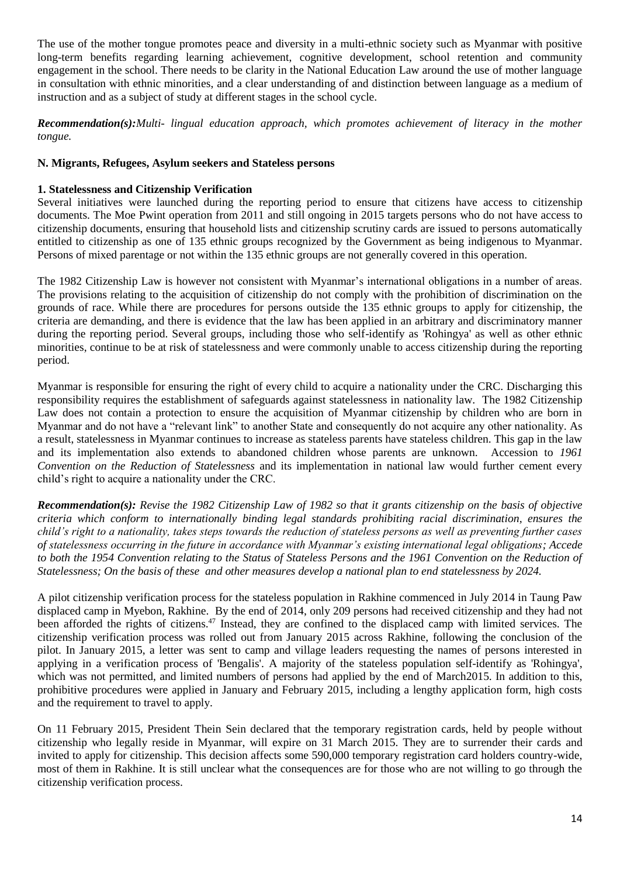The use of the mother tongue promotes peace and diversity in a multi-ethnic society such as Myanmar with positive long-term benefits regarding learning achievement, cognitive development, school retention and community engagement in the school. There needs to be clarity in the National Education Law around the use of mother language in consultation with ethnic minorities, and a clear understanding of and distinction between language as a medium of instruction and as a subject of study at different stages in the school cycle.

*Recommendation(s):Multi- lingual education approach, which promotes achievement of literacy in the mother tongue.* 

# **N. Migrants, Refugees, Asylum seekers and Stateless persons**

# **1. Statelessness and Citizenship Verification**

Several initiatives were launched during the reporting period to ensure that citizens have access to citizenship documents. The Moe Pwint operation from 2011 and still ongoing in 2015 targets persons who do not have access to citizenship documents, ensuring that household lists and citizenship scrutiny cards are issued to persons automatically entitled to citizenship as one of 135 ethnic groups recognized by the Government as being indigenous to Myanmar. Persons of mixed parentage or not within the 135 ethnic groups are not generally covered in this operation.

The 1982 Citizenship Law is however not consistent with Myanmar's international obligations in a number of areas. The provisions relating to the acquisition of citizenship do not comply with the prohibition of discrimination on the grounds of race. While there are procedures for persons outside the 135 ethnic groups to apply for citizenship, the criteria are demanding, and there is evidence that the law has been applied in an arbitrary and discriminatory manner during the reporting period. Several groups, including those who self-identify as 'Rohingya' as well as other ethnic minorities, continue to be at risk of statelessness and were commonly unable to access citizenship during the reporting period.

Myanmar is responsible for ensuring the right of every child to acquire a nationality under the CRC. Discharging this responsibility requires the establishment of safeguards against statelessness in nationality law. The 1982 Citizenship Law does not contain a protection to ensure the acquisition of Myanmar citizenship by children who are born in Myanmar and do not have a "relevant link" to another State and consequently do not acquire any other nationality. As a result, statelessness in Myanmar continues to increase as stateless parents have stateless children. This gap in the law and its implementation also extends to abandoned children whose parents are unknown. Accession to *1961 Convention on the Reduction of Statelessness* and its implementation in national law would further cement every child's right to acquire a nationality under the CRC.

*Recommendation(s): Revise the 1982 Citizenship Law of 1982 so that it grants citizenship on the basis of objective criteria which conform to internationally binding legal standards prohibiting racial discrimination, ensures the child's right to a nationality, takes steps towards the reduction of stateless persons as well as preventing further cases of statelessness occurring in the future in accordance with Myanmar's existing international legal obligations; Accede*  to both the 1954 Convention relating to the Status of Stateless Persons and the 1961 Convention on the Reduction of *Statelessness; On the basis of these and other measures develop a national plan to end statelessness by 2024.*

A pilot citizenship verification process for the stateless population in Rakhine commenced in July 2014 in Taung Paw displaced camp in Myebon, Rakhine. By the end of 2014, only 209 persons had received citizenship and they had not been afforded the rights of citizens.<sup>47</sup> Instead, they are confined to the displaced camp with limited services. The citizenship verification process was rolled out from January 2015 across Rakhine, following the conclusion of the pilot. In January 2015, a letter was sent to camp and village leaders requesting the names of persons interested in applying in a verification process of 'Bengalis'. A majority of the stateless population self-identify as 'Rohingya', which was not permitted, and limited numbers of persons had applied by the end of March2015. In addition to this, prohibitive procedures were applied in January and February 2015, including a lengthy application form, high costs and the requirement to travel to apply.

On 11 February 2015, President Thein Sein declared that the temporary registration cards, held by people without citizenship who legally reside in Myanmar, will expire on 31 March 2015. They are to surrender their cards and invited to apply for citizenship. This decision affects some 590,000 temporary registration card holders country-wide, most of them in Rakhine. It is still unclear what the consequences are for those who are not willing to go through the citizenship verification process.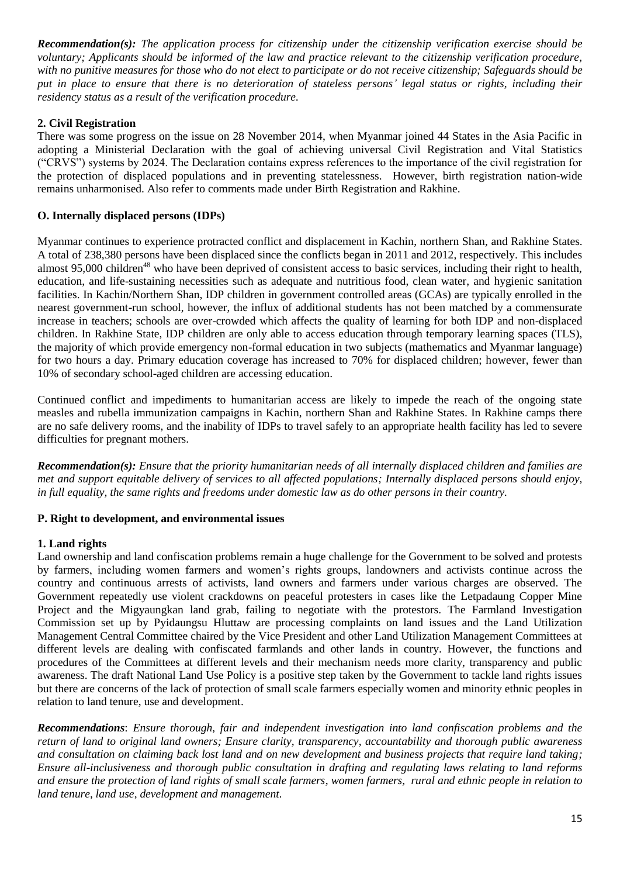*Recommendation(s): The application process for citizenship under the citizenship verification exercise should be voluntary; Applicants should be informed of the law and practice relevant to the citizenship verification procedure, with no punitive measures for those who do not elect to participate or do not receive citizenship; Safeguards should be put in place to ensure that there is no deterioration of stateless persons' legal status or rights, including their residency status as a result of the verification procedure.*

### **2. Civil Registration**

There was some progress on the issue on 28 November 2014, when Myanmar joined 44 States in the Asia Pacific in adopting a Ministerial Declaration with the goal of achieving universal Civil Registration and Vital Statistics ("CRVS") systems by 2024. The Declaration contains express references to the importance of the civil registration for the protection of displaced populations and in preventing statelessness. However, birth registration nation-wide remains unharmonised. Also refer to comments made under Birth Registration and Rakhine.

### **O. Internally displaced persons (IDPs)**

Myanmar continues to experience protracted conflict and displacement in Kachin, northern Shan, and Rakhine States. A total of 238,380 persons have been displaced since the conflicts began in 2011 and 2012, respectively. This includes almost 95,000 children<sup>48</sup> who have been deprived of consistent access to basic services, including their right to health, education, and life-sustaining necessities such as adequate and nutritious food, clean water, and hygienic sanitation facilities. In Kachin/Northern Shan, IDP children in government controlled areas (GCAs) are typically enrolled in the nearest government-run school, however, the influx of additional students has not been matched by a commensurate increase in teachers; schools are over-crowded which affects the quality of learning for both IDP and non-displaced children. In Rakhine State, IDP children are only able to access education through temporary learning spaces (TLS), the majority of which provide emergency non-formal education in two subjects (mathematics and Myanmar language) for two hours a day. Primary education coverage has increased to 70% for displaced children; however, fewer than 10% of secondary school-aged children are accessing education.

Continued conflict and impediments to humanitarian access are likely to impede the reach of the ongoing state measles and rubella immunization campaigns in Kachin, northern Shan and Rakhine States. In Rakhine camps there are no safe delivery rooms, and the inability of IDPs to travel safely to an appropriate health facility has led to severe difficulties for pregnant mothers.

*Recommendation(s): Ensure that the priority humanitarian needs of all internally displaced children and families are met and support equitable delivery of services to all affected populations; Internally displaced persons should enjoy, in full equality, the same rights and freedoms under domestic law as do other persons in their country.*

#### **P. Right to development, and environmental issues**

#### **1. Land rights**

Land ownership and land confiscation problems remain a huge challenge for the Government to be solved and protests by farmers, including women farmers and women's rights groups, landowners and activists continue across the country and continuous arrests of activists, land owners and farmers under various charges are observed. The Government repeatedly use violent crackdowns on peaceful protesters in cases like the Letpadaung Copper Mine Project and the Migyaungkan land grab, failing to negotiate with the protestors. The Farmland Investigation Commission set up by Pyidaungsu Hluttaw are processing complaints on land issues and the Land Utilization Management Central Committee chaired by the Vice President and other Land Utilization Management Committees at different levels are dealing with confiscated farmlands and other lands in country. However, the functions and procedures of the Committees at different levels and their mechanism needs more clarity, transparency and public awareness. The draft National Land Use Policy is a positive step taken by the Government to tackle land rights issues but there are concerns of the lack of protection of small scale farmers especially women and minority ethnic peoples in relation to land tenure, use and development.

*Recommendations*: *Ensure thorough, fair and independent investigation into land confiscation problems and the return of land to original land owners; Ensure clarity, transparency, accountability and thorough public awareness and consultation on claiming back lost land and on new development and business projects that require land taking; Ensure all-inclusiveness and thorough public consultation in drafting and regulating laws relating to land reforms and ensure the protection of land rights of small scale farmers, women farmers, rural and ethnic people in relation to land tenure, land use, development and management.*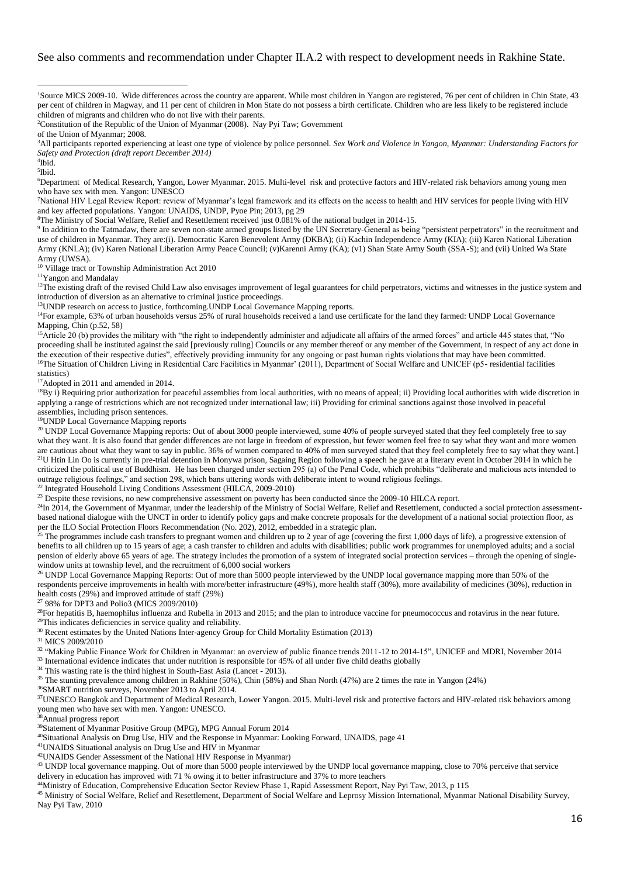#### See also comments and recommendation under Chapter II.A.2 with respect to development needs in Rakhine State.

of the Union of Myanmar; 2008.

<sup>3</sup>All participants reported experiencing at least one type of violence by police personnel. *Sex Work and Violence in Yangon, Myanmar: Understanding Factors for Safety and Protection (draft report December 2014)*

4 Ibid.

5 Ibid.

<sup>6</sup>Department of Medical Research, Yangon, Lower Myanmar. 2015. Multi-level risk and protective factors and HIV-related risk behaviors among young men who have sex with men. Yangon: UNESCO

<sup>7</sup>National HIV Legal Review Report: review of Myanmar's legal framework and its effects on the access to health and HIV services for people living with HIV and key affected populations. Yangon: UNAIDS, UNDP, Pyoe Pin; 2013, pg 29

<sup>8</sup>The Ministry of Social Welfare, Relief and Resettlement received just 0.081% of the national budget in 2014-15.

<sup>9</sup> In addition to the Tatmadaw, there are seven non-state armed groups listed by the UN Secretary-General as being "persistent perpetrators" in the recruitment and use of children in Myanmar. They are:(i). Democratic Karen Benevolent Army (DKBA); (ii) Kachin Independence Army (KIA); (iii) Karen National Liberation Army (KNLA); (iv) Karen National Liberation Army Peace Council; (v)Karenni Army (KA); (v1) Shan State Army South (SSA-S); and (vii) United Wa State Army (UWSA).

<sup>10</sup> Village tract or Township Administration Act 2010

<sup>11</sup>Yangon and Mandalay

<sup>12</sup>The existing draft of the revised Child Law also envisages improvement of legal guarantees for child perpetrators, victims and witnesses in the justice system and introduction of diversion as an alternative to criminal justice proceedings.

<sup>13</sup> UNDP research on access to justice, forthcoming. UNDP Local Governance Mapping reports.

<sup>14</sup>For example, 63% of urban households versus 25% of rural households received a land use certificate for the land they farmed: UNDP Local Governance Mapping, Chin (p.52, 58)

<sup>15</sup>Article 20 (b) provides the military with "the right to independently administer and adjudicate all affairs of the armed forces" and article 445 states that, "No proceeding shall be instituted against the said [previously ruling] Councils or any member thereof or any member of the Government, in respect of any act done in the execution of their respective duties", effectively providing immunity for any ongoing or past human rights violations that may have been committed. <sup>16</sup>The Situation of Children Living in Residential Care Facilities in Myanmar' (2011), Department of Social Welfare and UNICEF (p5- residential facilities statistics)

<sup>17</sup>Adopted in 2011 and amended in 2014.

<sup>18</sup>By i) Requiring prior authorization for peaceful assemblies from local authorities, with no means of appeal; ii) Providing local authorities with wide discretion in applying a range of restrictions which are not recognized under international law; iii) Providing for criminal sanctions against those involved in peaceful assemblies, including prison sentences.

<sup>19</sup>UNDP Local Governance Mapping reports

<sup>20</sup> UNDP Local Governance Mapping reports: Out of about 3000 people interviewed, some 40% of people surveyed stated that they feel completely free to say what they want. It is also found that gender differences are not large in freedom of expression, but fewer women feel free to say what they want and more women are cautious about what they want to say in public. 36% of women compared to 40% of men surveyed stated that they feel completely free to say what they want.] <sup>21</sup>U Htin Lin Oo is currently in pre-trial detention in Monywa prison, Sagaing Region following a speech he gave at a literary event in October 2014 in which he criticized the political use of Buddhism. He has been charged under section 295 (a) of the Penal Code, which prohibits "deliberate and malicious acts intended to outrage religious feelings," and section 298, which bans uttering words with deliberate intent to wound religious feelings.

<sup>22</sup> Integrated Household Living Conditions Assessment (HILCA, 2009-2010)

<sup>23</sup> Despite these revisions, no new comprehensive assessment on poverty has been conducted since the 2009-10 HILCA report.

<sup>24</sup>In 2014, the Government of Myanmar, under the leadership of the Ministry of Social Welfare, Relief and Resettlement, conducted a social protection assessmentbased national dialogue with the UNCT in order to identify policy gaps and make concrete proposals for the development of a national social protection floor, as per the ILO Social Protection Floors Recommendation (No. 202), 2012, embedded in a strategic plan.

 $^{25}$  The programmes include cash transfers to pregnant women and children up to 2 year of age (covering the first 1,000 days of life), a progressive extension of benefits to all children up to 15 years of age; a cash transfer to children and adults with disabilities; public work programmes for unemployed adults; and a social pension of elderly above 65 years of age. The strategy includes the promotion of a system of integrated social protection services – through the opening of singlewindow units at township level, and the recruitment of 6,000 social workers

<sup>26</sup> UNDP Local Governance Mapping Reports: Out of more than 5000 people interviewed by the UNDP local governance mapping more than 50% of the respondents perceive improvements in health with more/better infrastructure (49%), more health staff (30%), more availability of medicines (30%), reduction in health costs (29%) and improved attitude of staff (29%)

<sup>27</sup> 98% for DPT3 and Polio3 (MICS 2009/2010)

 $^{28}$ For hepatitis B, haemophilus influenza and Rubella in 2013 and 2015; and the plan to introduce vaccine for pneumococcus and rotavirus in the near future. <sup>29</sup>This indicates deficiencies in service quality and reliability.

<sup>30</sup> Recent estimates by the United Nations Inter-agency Group for Child Mortality Estimation (2013)

<sup>31</sup> MICS 2009/2010

<sup>32</sup> "Making Public Finance Work for Children in Myanmar: an overview of public finance trends 2011-12 to 2014-15", UNICEF and MDRI, November 2014

<sup>33</sup> International evidence indicates that under nutrition is responsible for 45% of all under five child deaths globally

<sup>34</sup> This wasting rate is the third highest in South-East Asia (Lancet - 2013).

<sup>35</sup> The stunting prevalence among children in Rakhine (50%), Chin (58%) and Shan North (47%) are 2 times the rate in Yangon (24%)

<sup>36</sup>SMART nutrition surveys, November 2013 to April 2014.

<sup>37</sup>UNESCO Bangkok and Department of Medical Research, Lower Yangon. 2015. Multi-level risk and protective factors and HIV-related risk behaviors among young men who have sex with men. Yangon: UNESCO.

<sup>38</sup>Annual progress report

<sup>39</sup>Statement of Myanmar Positive Group (MPG), MPG Annual Forum 2014

<sup>40</sup>Situational Analysis on Drug Use, HIV and the Response in Myanmar: Looking Forward, UNAIDS, page 41

<sup>41</sup>UNAIDS Situational analysis on Drug Use and HIV in Myanmar

<sup>42</sup>UNAIDS Gender Assessment of the National HIV Response in Myanmar)

<sup>43</sup> UNDP local governance mapping. Out of more than 5000 people interviewed by the UNDP local governance mapping, close to 70% perceive that service delivery in education has improved with 71 % owing it to better infrastructure and 37% to more teachers

<sup>44</sup>Ministry of Education, Comprehensive Education Sector Review Phase 1, Rapid Assessment Report, Nay Pyi Taw, 2013, p 115

<sup>45</sup> Ministry of Social Welfare, Relief and Resettlement, Department of Social Welfare and Leprosy Mission International, Myanmar National Disability Survey, Nay Pyi Taw, 2010

<sup>1</sup> <sup>1</sup>Source MICS 2009-10. Wide differences across the country are apparent. While most children in Yangon are registered, 76 per cent of children in Chin State, 43 per cent of children in Magway, and 11 per cent of children in Mon State do not possess a birth certificate. Children who are less likely to be registered include children of migrants and children who do not live with their parents.

<sup>2</sup>Constitution of the Republic of the Union of Myanmar (2008). Nay Pyi Taw; Government